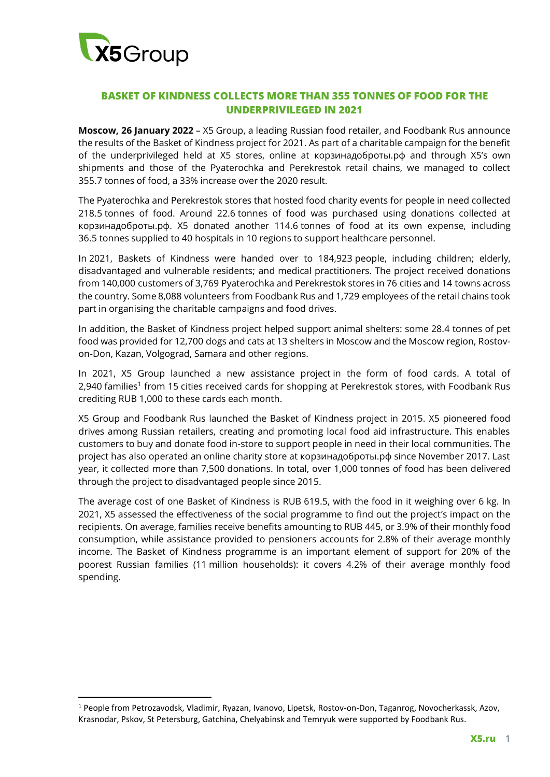

## **BASKET OF KINDNESS COLLECTS MORE THAN 355 TONNES OF FOOD FOR THE UNDERPRIVILEGED IN 2021**

**Moscow, 26 January 2022** – X5 Group, a leading Russian food retailer, and Foodbank Rus announce the results of the Basket of Kindness project for 2021. As part of a charitable campaign for the benefit of the underprivileged held at X5 stores, online at корзинадоброты.рф and through X5's own shipments and those of the Pyaterochka and Perekrestok retail chains, we managed to collect 355.7 tonnes of food, a 33% increase over the 2020 result.

The Pyaterochka and Perekrestok stores that hosted food charity events for people in need collected 218.5 tonnes of food. Around 22.6 tonnes of food was purchased using donations collected at корзинадоброты.рф. X5 donated another 114.6 tonnes of food at its own expense, including 36.5 tonnes supplied to 40 hospitals in 10 regions to support healthcare personnel.

In 2021, Baskets of Kindness were handed over to 184,923 people, including children; elderly, disadvantaged and vulnerable residents; and medical practitioners. The project received donations from 140,000 customers of 3,769 Pyaterochka and Perekrestok stores in 76 cities and 14 towns across the country. Some 8,088 volunteers from Foodbank Rus and 1,729 employees of the retail chains took part in organising the charitable campaigns and food drives.

In addition, the Basket of Kindness project helped support animal shelters: some 28.4 tonnes of pet food was provided for 12,700 dogs and cats at 13 shelters in Moscow and the Moscow region, Rostovon-Don, Kazan, Volgograd, Samara and other regions.

In 2021, X5 Group launched a new assistance project in the form of food cards. A total of 2,940 families<sup>1</sup> from 15 cities received cards for shopping at Perekrestok stores, with Foodbank Rus crediting RUB 1,000 to these cards each month.

X5 Group and Foodbank Rus launched the Basket of Kindness project in 2015. X5 pioneered food drives among Russian retailers, creating and promoting local food aid infrastructure. This enables customers to buy and donate food in-store to support people in need in their local communities. The project has also operated an online charity store at корзинадоброты.рф since November 2017. Last year, it collected more than 7,500 donations. In total, over 1,000 tonnes of food has been delivered through the project to disadvantaged people since 2015.

The average cost of one Basket of Kindness is RUB 619.5, with the food in it weighing over 6 kg. In 2021, X5 assessed the effectiveness of the social programme to find out the project's impact on the recipients. On average, families receive benefits amounting to RUB 445, or 3.9% of their monthly food consumption, while assistance provided to pensioners accounts for 2.8% of their average monthly income. The Basket of Kindness programme is an important element of support for 20% of the poorest Russian families (11 million households): it covers 4.2% of their average monthly food spending.

<sup>1</sup> People from Petrozavodsk, Vladimir, Ryazan, Ivanovo, Lipetsk, Rostov-on-Don, Taganrog, Novocherkassk, Azov, Krasnodar, Pskov, St Petersburg, Gatchina, Chelyabinsk and Temryuk were supported by Foodbank Rus.